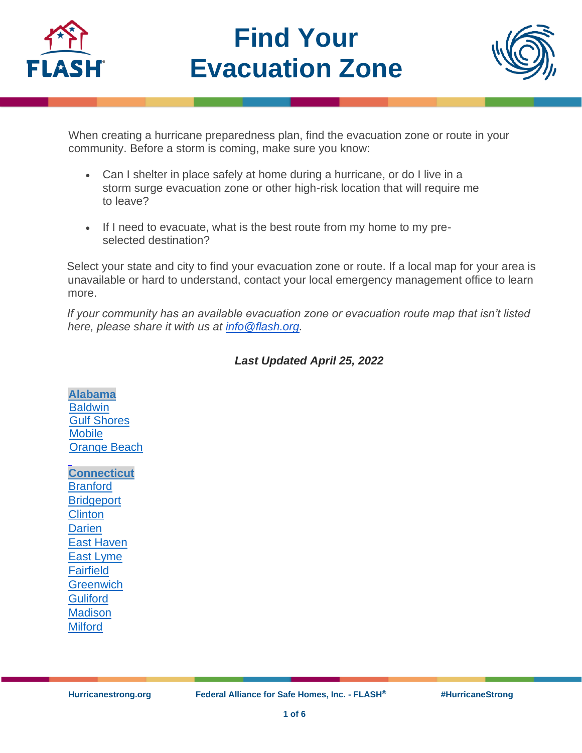

# **Find Your Evacuation Zone**



When creating a hurricane preparedness plan, find the evacuation zone or route in your community. Before a storm is coming, make sure you know:

- Can I shelter in place safely at home during a hurricane, or do I live in a storm surge evacuation zone or other high-risk location that will require me to leave?
- If I need to evacuate, what is the best route from my home to my preselected destination?

Select your state and city to find your evacuation zone or route. If a local map for your area is unavailable or hard to understand, contact your local emergency management office to learn more.

*If your community has an available evacuation zone or evacuation route map that isn't listed here, please share it with us at [info@flash.org.](mailto:info@flash.org)*

## *Last Updated April 25, 2022*

**[Alabama](https://ema.alabama.gov/) [Baldwin](https://baldwincountyal.gov/docs/default-source/ema/zeta-media-updates/baldwin_evac_zones_feb_2020.pdf?sfvrsn=bd97730b_2)** [Gulf Shores](https://www.gulfshoresal.gov/DocumentCenter/View/2929/Gulf-Shores-Emergency-District-Map?bidId=) **[Mobile](https://www.mcema.net/evacuation/evacuation-zones)** [Orange Beach](https://baldwincountyal.gov/docs/default-source/ema/zeta-media-updates/baldwin_evac_zones_feb_2020.pdf?sfvrsn=bd97730b_2)

**[Connecticut](https://portal.ct.gov/demhs) [Branford](https://portal.ct.gov/-/media/DEMHS/_docs/Know-Your-Zone/Branford-2014-Hurricane-Evac-map.pdf?la=en) [Bridgeport](https://portal.ct.gov/-/media/DEMHS/_docs/Know-Your-Zone/Bridgeport-2014-Hurricane-Evac-map.pdf?la=en) [Clinton](https://portal.ct.gov/-/media/DEMHS/_docs/Know-Your-Zone/Clinton-2014-Hurricane-Evac-map.pdf?la=en) [Darien](https://portal.ct.gov/-/media/DEMHS/_docs/Know-Your-Zone/Darien-2014-Hurricane-Evac-map.pdf?la=en)** [East Haven](https://portal.ct.gov/-/media/DEMHS/_docs/Know-Your-Zone/East-Haven-2014-Hurricane-Evac-map.pdf?la=en) [East Lyme](https://portal.ct.gov/-/media/DEMHS/_docs/Know-Your-Zone/East-Lyme-2014-Hurricane-Evac-map.pdf?la=en) [Fairfield](https://portal.ct.gov/-/media/DEMHS/_docs/Know-Your-Zone/Fairfield-2014-Hurricane-Evac-map.pdf?la=en) **[Greenwich](https://portal.ct.gov/-/media/DEMHS/_docs/Know-Your-Zone/Greenwich-2014-Hurricane-Evac-map.pdf?la=en) [Guliford](https://portal.ct.gov/-/media/DEMHS/_docs/Know-Your-Zone/Guilford-2014-Hurricane-Evac-map.pdf?la=en) [Madison](https://portal.ct.gov/-/media/DEMHS/_docs/Know-Your-Zone/Madison-2014-Hurricane-Evac-map.pdf?la=en) [Milford](https://portal.ct.gov/-/media/DEMHS/_docs/Know-Your-Zone/Milford-2014-Hurricane-Evac-map.pdf?la=en)**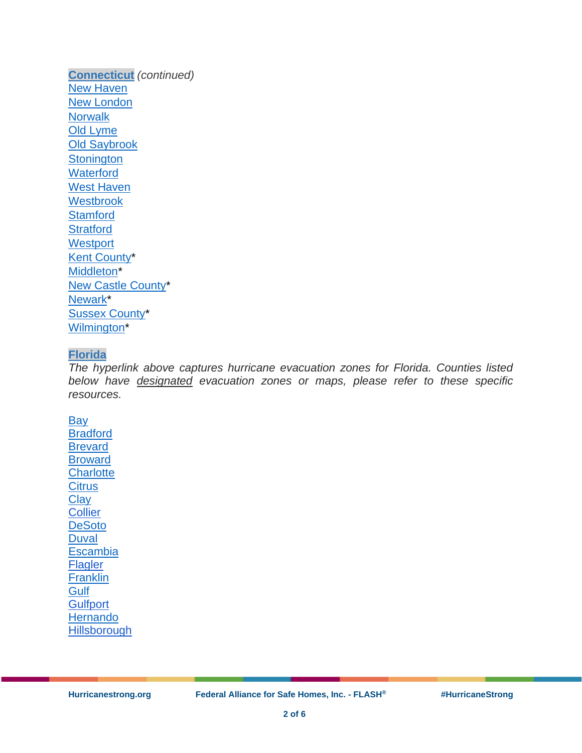**[Connecticut](https://portal.ct.gov/demhs)** *(continued)* [New Haven](https://portal.ct.gov/-/media/DEMHS/_docs/Know-Your-Zone/New-Haven-2014-Hurricane-Evac-map.pdf?la=en) [New London](https://portal.ct.gov/-/media/DEMHS/_docs/Know-Your-Zone/New-London-2014-Hurricane-Evac-map.pdf?la=en) **[Norwalk](https://portal.ct.gov/-/media/DEMHS/_docs/Know-Your-Zone/Norwalk-2014-Hurricane-Evac-map.pdf?la=en)** [Old Lyme](https://portal.ct.gov/-/media/DEMHS/_docs/Know-Your-Zone/Old-Lyme-2014-Hurricane-Evac-map.pdf?la=en) [Old Saybrook](https://portal.ct.gov/-/media/DEMHS/_docs/Know-Your-Zone/Old-Saybrook-2014-Hurricane-Evac-map.pdf?la=en) **[Stonington](https://portal.ct.gov/-/media/DEMHS/_docs/Know-Your-Zone/Stonington-2014-Hurricane-Evac-map.pdf?la=en) [Waterford](https://portal.ct.gov/-/media/DEMHS/_docs/Know-Your-Zone/Waterford-2014-Hurricane-Evac-map.pdf?la=en)** [West Haven](https://portal.ct.gov/-/media/DEMHS/_docs/Know-Your-Zone/West-Haven-2014-Hurricane-Evac-map.pdf?la=en) **[Westbrook](https://portal.ct.gov/-/media/DEMHS/_docs/Know-Your-Zone/Westbrook-2014-Hurricane-Evac-map.pdf?la=en) [Stamford](https://portal.ct.gov/-/media/DEMHS/_docs/Know-Your-Zone/Stamford-2014-Hurricane-Evac-map.pdf?la=en) [Stratford](https://portal.ct.gov/-/media/DEMHS/_docs/Know-Your-Zone/Stratford-2014-Hurricane-Evac-map.pdf?la=en) [Westport](https://portal.ct.gov/-/media/DEMHS/_docs/Know-Your-Zone/Westport-2014-Hurricane-Evac-map.pdf?la=en)** [Kent County\\*](https://www.deldot.gov/information/projects/tmt/pdfs/hurricane_evacuation/kent/KentRegional_Update_20081110.pdf) [Middleton\\*](https://www.deldot.gov/information/projects/tmt/pdfs/hurricane_evacuation/ncc/NCC_EvacMiddletown_Update_20081110.pdf) [New Castle County\\*](https://www.deldot.gov/information/projects/tmt/pdfs/hurricane_evacuation/ncc/NCC_EvacNewCastleCounty_Update_20081110.pdf) [Newark\\*](https://www.deldot.gov/information/projects/tmt/pdfs/hurricane_evacuation/ncc/NCC_EvacNewark_Update_20081110.pdf) [Sussex County\\*](https://sussexcountyde.gov/sites/default/files/PDFs/evac_roads_MAP.pdf) [Wilmington\\*](https://www.deldot.gov/information/projects/tmt/pdfs/hurricane_evacuation/ncc/NCC_EvacWilmington_Update_20081110.pdf)

#### **[Florida](https://floridadisaster.maps.arcgis.com/apps/webappviewer/index.html?id=c788060028cb43809a25744ead39c0d6)**

*The hyperlink above captures hurricane evacuation zones for Florida. Counties listed below have designated evacuation zones or maps, please refer to these specific resources.*

**[Bay](https://www.baycountyfl.gov/511/Evacuation-Zones)** [Bradford](http://www.bradfordsheriff.org/wp-content/uploads/2018/05/EvacuationMap.pdf) **[Brevard](https://www.brevardfl.gov/EmergencyManagement/BePrepared/HaveAPlan/Evacuation)** [Broward](https://www.broward.org/Hurricane/Documents/EvacuationMapADACompliant.pdf) **[Charlotte](https://www.charlottecountyfl.gov/departments/public-safety/emergency-management/know-your-zone.stml) [Citrus](https://www.sheriffcitrus.org/documents/emergency-management/evacuation-zones.pdf) [Clay](https://www.claycountygov.com/Home/ShowDocument?id=4050) [Collier](https://www.colliercountyfl.gov/home/showdocument?id=64880visions-a-e/emergency-management/why-evacuate) [DeSoto](http://desotobocc.com/department/emergency_management/desoto-county-evacuation-routes)** [Duval](http://maps.coj.net/evsearch/) **[Escambia](https://myescambia.com/apps/knowyourzone/) [Flagler](https://www.cityofflaglerbeach.com/DocumentCenter/View/469/Flagler-County-Evacuation-Maps?bidId=nt/EVAC%20Routes%20map.pdf) [Franklin](https://maps.floridadisaster.org/county/EVAC_FRANKLIN.pdf) [Gulf](http://www.gulfcounty-fl.gov/county_government/emergency_management) [Gulfport](https://mygulfport.us/hurricane-center/) [Hernando](http://www.hernandocounty.us/home/showdocument?id=436) [Hillsborough](https://www.hillsboroughcounty.org/library/hillsborough/media-center/documents/emergency-management/hillsborough-evacuation-zone-map-english.pdfhtml?id=04f1084467564dff88729f668caed40a)**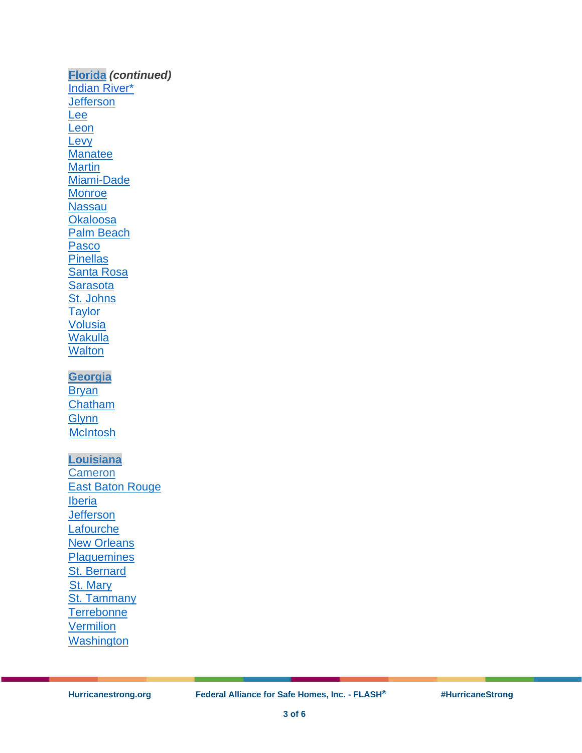**[Florida](https://floridadisaster.maps.arcgis.com/apps/webappviewer/index.html?id=c788060028cb43809a25744ead39c0d6)** *(continued)* [Indian River\\*](https://ircgov.com/emergencyservices/emergencymanagement/documents/Evacuation-Routes.pdf) **[Jefferson](https://maps.floridadisaster.org/county/EVAC_JEFFERSON.pdf)** [Lee](https://leegis.maps.arcgis.com/apps/webappviewer/index.html?id=347e85a76bcd4e92ae45d387fd088938) [Leon](http://www2.leoncountyfl.gov/haveahurricaneplan/evacuations-and-sheltering---leon-county-disaster-survival-guide.html) **[Levy](https://www.levydisaster.com/documents/Levy_EvacZones_withStreets.pdf)** [Manatee](https://www.mymanatee.org/departments/public_safety/emergency_management/evacuation_levels) **[Martin](http://mcgov.maps.arcgis.com/apps/webappviewer/index.html?id=9fbf0dbea38c4b8eb15930bff1af0acb)** [Miami-Dade](https://mdc.maps.arcgis.com/apps/webappviewer/index.html?id=3083fae247bc4e0cadde6db5075f52f0&mobileBreakPoint=300) **[Monroe](http://www.monroecountyem.com/897/Evacuation-Information) [Nassau](https://www.onenassau.com/evacuations/evacuation-zones/) [Okaloosa](http://www.myokaloosa.com/gis_ps)** [Palm Beach](https://discover.pbcgov.org/publicsafety/dem/Pages/Hurricane.aspx) [Pasco](https://pascofloem.maps.arcgis.com/apps/webappviewer/index.html?id=9fa8f4cd8c4c4c2b943c4b4ec8f6fb84) **[Pinellas](http://kyz.pinellascounty.org/)** [Santa Rosa](http://santarosagis.maps.arcgis.com/apps/InformationLookup/index.html?appid=2df25688578e4e1087bdc4c00ad6a030) **[Sarasota](https://ags3.scgov.net/knowyourlevel/)** [St. Johns](http://sjcfl.maps.arcgis.com/apps/ZoneLookup/index.html?appid=dd5df82ca3ca4f89845581058289d2e2) **[Taylor](https://maps.floridadisaster.org/county/EVAC_TAYLOR.pdf)** [Volusia](https://www.volusia.org/core/fileparse.php/6143/urlt/EvacZone.pdf) **[Wakulla](https://wakullaplanning.maps.arcgis.com/apps/webappviewer/index.html?id=7bf9c76ca0a644989c9bc1572fe17c06) [Walton](https://waltongis.maps.arcgis.com/apps/View/index.html?appid=e3cd1148b3cf49a1aac8bde1aa5cf788) [Georgia](https://gema.georgia.gov/) [Bryan](http://www.bryancountyga.org/home/showdocument?id=2548)** [Chatham](https://public.sagis.org/evaczones/) **[Glynn](http://glynn.maps.arcgis.com/home/webmap/viewer.html?webmap=4d62a76689b6413687cc5ab141d0d760&extent=-82.2701,30.8624,-80.7348,31.5799) [McIntosh](http://www.sas.usace.army.mil/Portals/61/docs/Planning/HES/McIntoshCountyGeoPDF.pdf) [Louisiana](http://gohsep.la.gov/) [Cameron](http://maps.redcross.org/website/maps/images/Louisiana/LA_state1_evac.pdf)** [East Baton Rouge](https://ebrgis.maps.arcgis.com/apps/webappviewer/index.html?id=4ab0aafe77704712ba8adc18559e2cfc) [Iberia](http://maps.redcross.org/website/maps/images/Louisiana/LA_state1_evac.pdf) **[Jefferson](http://maps.redcross.org/website/maps/images/Louisiana/LA_state1_evac.pdf) [Lafourche](http://maps.redcross.org/website/maps/images/Louisiana/LA_state1_evac.pdf) [New Orleans](http://maps.redcross.org/website/maps/images/Louisiana/LA_state1_evac.pdf) [Plaquemines](http://maps.redcross.org/website/maps/images/Louisiana/LA_state1_evac.pdf)** [St. Bernard](http://maps.redcross.org/website/maps/images/Louisiana/LA_state1_evac.pdf) [St. Mary](http://maps.redcross.org/website/maps/images/Louisiana/LA_state1_evac.pdf) [St. Tammany](http://maps.redcross.org/website/maps/images/Louisiana/LA_state1_evac.pdf) **[Terrebonne](http://www.tohsep.com/evacuation) [Vermilion](http://maps.redcross.org/website/maps/images/Louisiana/LA_state1_evac.pdf) [Washington](http://maps.redcross.org/website/maps/images/Louisiana/LA_state1_evac.pdf)**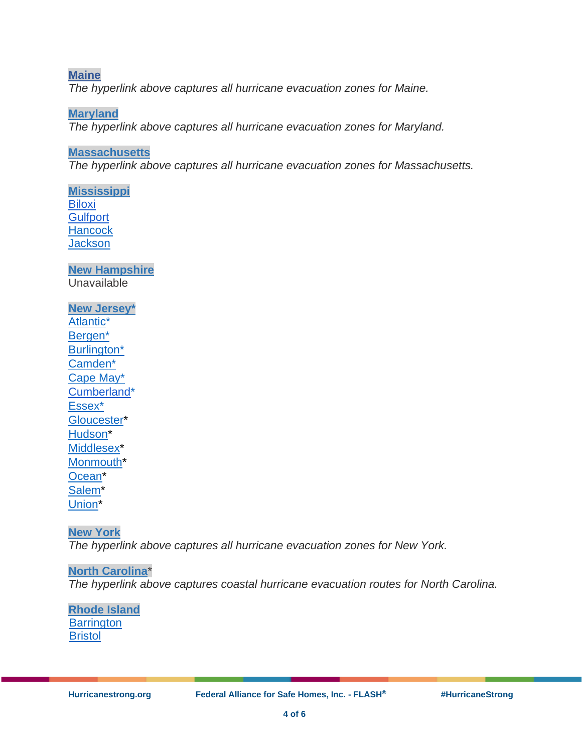**[Maine](https://storymaps.arcgis.com/stories/4fb502bf0ea6467693ff4191a1859e92)** *The hyperlink above captures all hurricane evacuation zones for Maine.*

**[Maryland](https://maryland.maps.arcgis.com/apps/InformationLookup/index.html?appid=abef1ee97e254dd7a8b55cc179e29d6c)** *The hyperlink above captures all hurricane evacuation zones for Maryland.*

## **[Massachusetts](https://www.mass.gov/info-details/hurricane-evacuation-zones)**

*The hyperlink above captures all hurricane evacuation zones for Massachusetts.*

**[Mississippi](https://mdot.ms.gov/documents/Planning/Maps/Hurricane%20Evacuation%20Map/Hurricane%20Evacuation%20Map.pdf) [Biloxi](https://biloxi.ms.us/wp-content/uploads/2020/07/EvacuationMap.pdf20Jan%202011.pdf) [Gulfport](https://www.gulfport-ms.gov/wp-content/uploads/2021/06/Harrison-County-Updated-Jan-2011.pdf0Jan%202011.pdf) [Hancock](https://secureservercdn.net/198.71.233.39/fff.62b.myftpupload.com/wp-content/uploads/2018/08/Figure-3-Hancock-Evacuation-Zone-Map-May-2010.pdf?time=1618439594) [Jackson](https://www.co.jackson.ms.us/221/Hurricane-Evacuation-Map)** 

**[New Hampshire](http://www.nh.gov/safety/divisions/hsem/) Unavailable** 

**[New Jersey\\*](http://ready.nj.gov/index.shtml)** [Atlantic\\*](http://ready.nj.gov/plan/pdf/maps/atlantic_evac.pdf) [Bergen\\*](http://ready.nj.gov/plan/pdf/maps/bergen_evac.pdf) [Burlington\\*](http://ready.nj.gov/plan/pdf/maps/burlington_evac.pdf) [Camden\\*](http://ready.nj.gov/plan/pdf/maps/camden_evac.pdf) [Cape May\\*](http://ready.nj.gov/plan/pdf/maps/capemay_evac.pdf) [Cumberland\\*](https://nj.gov/njoem/plan/pdf/maps/cumberland_evac.pdf) [Essex\\*](http://ready.nj.gov/plan/pdf/maps/essex_evac.pdf) [Gloucester\\*](http://ready.nj.gov/plan/pdf/maps/gloucester_evac.pdf) [Hudson\\*](http://ready.nj.gov/plan/pdf/maps/hudson_evac.pdf) [Middlesex\\*](http://ready.nj.gov/plan/pdf/maps/middlesex_evac.pdf) [Monmouth\\*](http://ready.nj.gov/plan/pdf/maps/monmouth_evac.pdf) [Ocean\\*](http://ready.nj.gov/plan/pdf/maps/ocean_evac.pdf) [Salem\\*](http://ready.nj.gov/plan/pdf/maps/salem_evac.pdf) Union<sup>\*</sup>

**[New York](https://maps.nyc.gov/hurricane/)** *The hyperlink above captures all hurricane evacuation zones for New York.*

**[North Carolina](https://www.ncdot.gov/travel-maps/maps/Documents/coastal-evacuation-routes.pdf)**\* *The hyperlink above captures coastal hurricane evacuation routes for North Carolina.*

**[Rhode Island](http://www.riema.ri.gov/) [Barrington](http://www.riema.ri.gov/resources/citizens/prepare/Updated_Evac_Maps/Barrington_Evacuation_081213.pdf) [Bristol](http://www.riema.ri.gov/resources/citizens/prepare/Updated_Evac_Maps/Bristol_Evacuation_081213.pdf)**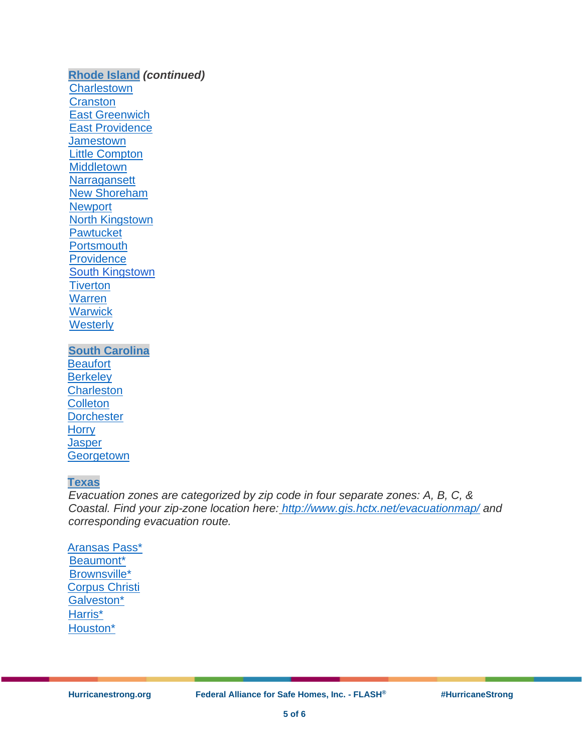**[Rhode Island](http://www.riema.ri.gov/)** *(continued)* **[Charlestown](http://www.riema.ri.gov/resources/citizens/prepare/Updated_Evac_Maps/Charlestown_Evacuation_081213.pdf) [Cranston](http://www.riema.ri.gov/resources/citizens/prepare/Updated_Evac_Maps/Cranston_Evacuation_081213.pdf)** [East Greenwich](http://www.riema.ri.gov/resources/citizens/prepare/Updated_Evac_Maps/EastGreenwich_Evacuation_081213.pdf) [East Providence](http://www.riema.ri.gov/resources/citizens/prepare/Updated_Evac_Maps/EastProvidence_Evacuation_081213.pdf) **[Jamestown](http://www.riema.ri.gov/resources/citizens/prepare/Updated_Evac_Maps/Jamestown_Evacuation_081213.pdf)** [Little Compton](http://www.riema.ri.gov/resources/citizens/prepare/Updated_Evac_Maps/LittleCompton_Evacuation_081213.pdf) **[Middletown](http://www.riema.ri.gov/resources/citizens/prepare/Updated_Evac_Maps/Middletown_Evacuation_081213.pdf) [Narragansett](http://www.riema.ri.gov/resources/citizens/prepare/Updated_Evac_Maps/Narragansett_Evacuation_081213.pdf)** [New Shoreham](http://www.riema.ri.gov/resources/citizens/prepare/Updated_Evac_Maps/NewShoreham_Evacuation_081213.pdf) **[Newport](http://www.riema.ri.gov/resources/citizens/prepare/Updated_Evac_Maps/Newport_Evacuation_081213.pdf)** [North Kingstown](http://www.riema.ri.gov/resources/citizens/prepare/Updated_Evac_Maps/NorthKingstown_Evacuation_081213.pdf) **[Pawtucket](http://www.riema.ri.gov/resources/citizens/prepare/Updated_Evac_Maps/Pawtucket_Evacuation_081213.pdf) [Portsmouth](http://www.riema.ri.gov/resources/citizens/prepare/Updated_Evac_Maps/Portsmouth_Evacuation_081213.pdf) [Providence](http://www.riema.ri.gov/resources/citizens/prepare/Updated_Evac_Maps/Providence_Evacuation_081213.pdf)** [South Kingstown](https://www.southkingstownri.com/198/Emergency-Evacuationvac_Maps/SouthKingstown_Inundation_081213.pdf) **[Tiverton](http://www.riema.ri.gov/resources/citizens/prepare/Updated_Evac_Maps/Tiverton_Evacuation_081213.pdf)** [Warren](http://www.riema.ri.gov/resources/citizens/prepare/Updated_Evac_Maps/Warren_Evacuation_081213.pdf) **[Warwick](http://www.riema.ri.gov/resources/citizens/prepare/Updated_Evac_Maps/Warwick_Evacuation_081213.pdf) [Westerly](http://www.riema.ri.gov/resources/citizens/prepare/Updated_Evac_Maps/Westerly_Evacuation_081213.pdf)** 

**[South Carolina](https://scemd.org/prepare/know-your-zone/) [Beaufort](http://scemd.cdn.missc.net/media/1271/kyzsouthern_coast_2018-3.pdf) [Berkeley](http://scemd.cdn.missc.net/media/1270/kyzcentral_coast_2018-1-1.pdf) [Charleston](http://scemd.cdn.missc.net/media/1270/kyzcentral_coast_2018-1-1.pdf) [Colleton](http://scemd.cdn.missc.net/media/1271/kyzsouthern_coast_2018-3.pdf) [Dorchester](http://scemd.cdn.missc.net/media/1270/kyzcentral_coast_2018-1-1.pdf) [Horry](http://scemd.cdn.missc.net/media/1268/kyznorthern_coast_2018-2.pdf) [Jasper](http://scemd.cdn.missc.net/media/1271/kyzsouthern_coast_2018-3.pdf) [Georgetown](http://scemd.cdn.missc.net/media/1268/kyznorthern_coast_2018-2.pdf)** 

#### **[Texas](https://www.txdot.gov/inside-txdot/division/traffic/safety/weather/hurricane.html)**

*Evacuation zones are categorized by zip code in four separate zones: A, B, C, & Coastal. Find your zip-zone location here: <http://www.gis.hctx.net/evacuationmap/> and corresponding evacuation route.*

[Aransas Pass\\*](http://ftp.dot.state.tx.us/pub/txdot-info/trv/evacuation/corpus.pdf) [Beaumont\\*](http://ftp.dot.state.tx.us/pub/txdot-info/trv/evacuation/beaumont.pdf) [Brownsville\\*](http://ftp.dot.state.tx.us/pub/txdot-info/trv/evacuation/pharr.pdf) [Corpus Christi](https://www.cctexas.com/sites/default/files/FIRDEP-evacuation-zone-map.pdf) [Galveston\\*](http://ftp.dot.state.tx.us/pub/txdot-info/trv/evacuation/houston.pdf) [Harris\\*](http://ftp.dot.state.tx.us/pub/txdot-info/trv/evacuation/houston.pdf) [Houston\\*](http://ftp.dot.state.tx.us/pub/txdot-info/trv/evacuation/houston.pdf)